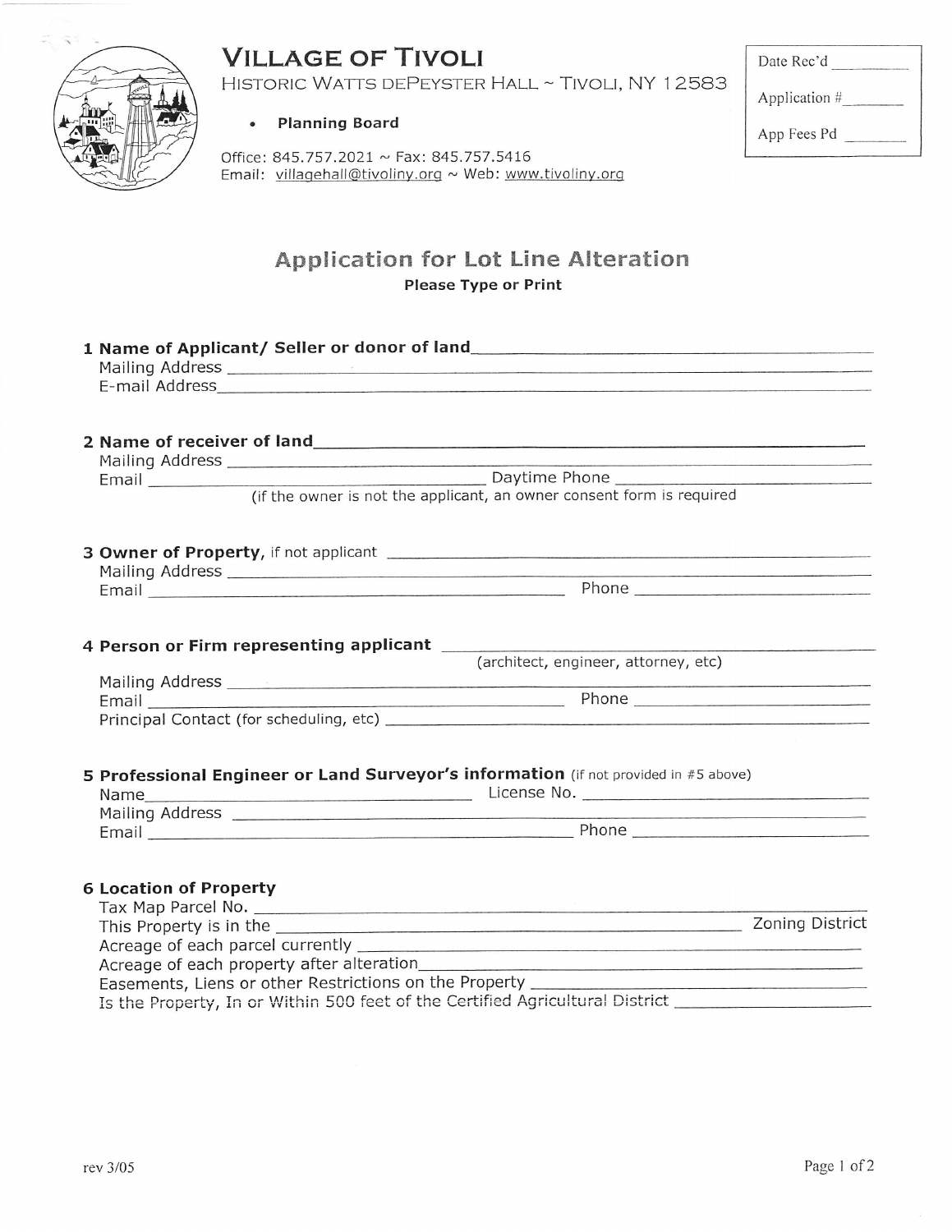# **VILLAGE OF TIVOLI**

HISTORIC WATTS DEPEYSTER HALL ~ TIVOLI, NY 12583



**Planning Board**  $\bullet$ 

Office: 845.757.2021 ~ Fax: 845.757.5416 Email: villagehall@tivoliny.org ~ Web: www.tivoliny.org

| Date Rec'd |  |
|------------|--|
|            |  |

Application #

App Fees Pd

### **Application for Lot Line Alteration Please Type or Print**

|                               | E-mail Address and a state of the control of the control of the control of the control of the control of the control of the control of the control of the control of the control of the control of the control of the control |  |
|-------------------------------|-------------------------------------------------------------------------------------------------------------------------------------------------------------------------------------------------------------------------------|--|
|                               |                                                                                                                                                                                                                               |  |
|                               |                                                                                                                                                                                                                               |  |
|                               |                                                                                                                                                                                                                               |  |
|                               | Email Daytime Phone                                                                                                                                                                                                           |  |
|                               | (if the owner is not the applicant, an owner consent form is required                                                                                                                                                         |  |
|                               |                                                                                                                                                                                                                               |  |
|                               |                                                                                                                                                                                                                               |  |
|                               |                                                                                                                                                                                                                               |  |
|                               |                                                                                                                                                                                                                               |  |
|                               |                                                                                                                                                                                                                               |  |
|                               | (architect, engineer, attorney, etc)                                                                                                                                                                                          |  |
|                               |                                                                                                                                                                                                                               |  |
| Email                         |                                                                                                                                                                                                                               |  |
|                               |                                                                                                                                                                                                                               |  |
|                               | 5 Professional Engineer or Land Surveyor's information (if not provided in #5 above)                                                                                                                                          |  |
|                               |                                                                                                                                                                                                                               |  |
|                               |                                                                                                                                                                                                                               |  |
|                               |                                                                                                                                                                                                                               |  |
|                               |                                                                                                                                                                                                                               |  |
| <b>6 Location of Property</b> |                                                                                                                                                                                                                               |  |
|                               |                                                                                                                                                                                                                               |  |
|                               |                                                                                                                                                                                                                               |  |
|                               |                                                                                                                                                                                                                               |  |
|                               |                                                                                                                                                                                                                               |  |
|                               | Easements, Liens or other Restrictions on the Property __________________________                                                                                                                                             |  |
|                               | Is the Property, In or Within 500 feet of the Certified Agricultural District _____________________                                                                                                                           |  |